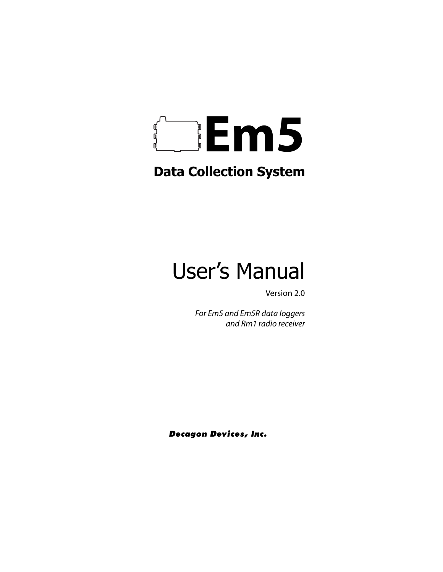

## **Data Collection System**

# User's Manual

Version 2.0

*For Em5 and Em5R data loggers and Rm1 radio receiver*

*Decagon Devices, Inc.*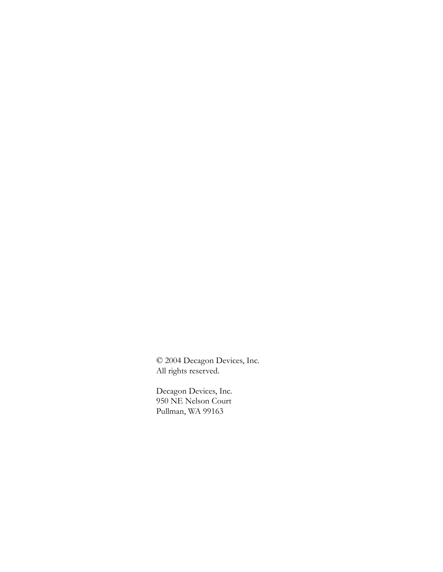© 2004 Decagon Devices, Inc. All rights reserved.

Decagon Devices, Inc. 950 NE Nelson Court Pullman, WA 99163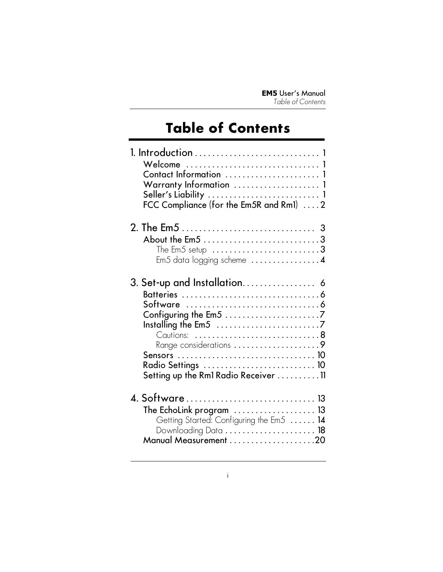## **Table of Contents**

| Welcome<br>Contact Information  1<br>Warranty Information $\,\dots\ldots\ldots\ldots\ldots\,1$<br>Seller's Liability  1<br>FCC Compliance (for the Em5R and Rm1) 2                                          |  |  |
|-------------------------------------------------------------------------------------------------------------------------------------------------------------------------------------------------------------|--|--|
| About the Em5 3<br>The Em5 setup $\ldots \ldots \ldots \ldots \ldots \ldots \ldots 3$<br>$Em5$ data logging scheme $\ldots \ldots \ldots \ldots \ldots 4$                                                   |  |  |
| 3. Set-up and Installation. 6<br>Software 6<br>Cautions: 8<br>Range considerations $\ldots \ldots \ldots \ldots \ldots \ldots$<br>Radio Settings  10<br>Setting up the Rm1 Radio Receiver 11                |  |  |
| The EchoLink program $\ldots \ldots \ldots \ldots \ldots \ldots$ 13<br>Getting Started: Configuring the Em5  14<br>Downloading Data $\ldots \ldots \ldots \ldots \ldots \ldots$ 18<br>Manual Measurement 20 |  |  |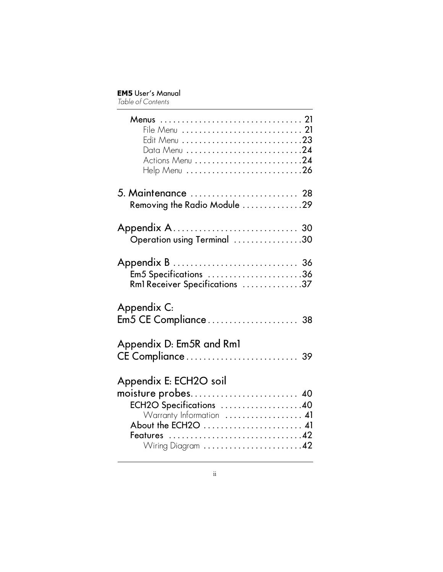| File Menu  21<br>Edit Menu $\dots\dots\dots\dots\dots\dots\dots\dots\dots$ 23<br>Actions Menu $\ldots \ldots \ldots \ldots \ldots \ldots \ldots 24$ |  |
|-----------------------------------------------------------------------------------------------------------------------------------------------------|--|
| 5. Maintenance  28<br>Removing the Radio Module 29                                                                                                  |  |
| Operation using Terminal 30                                                                                                                         |  |
| Appendix B  36<br>Em5 Specifications 36<br>Rm1 Receiver Specifications 37                                                                           |  |
| Appendix C:                                                                                                                                         |  |
| Appendix D: Em5R and Rm1<br>CE Compliance 39                                                                                                        |  |
| Appendix E: ECH2O soil<br>moisture probes 40                                                                                                        |  |
| ECH2O Specifications 40                                                                                                                             |  |
| Warranty Information  41<br>About the ECH2O  41                                                                                                     |  |
| Features 42                                                                                                                                         |  |
| Wiring Diagram $\ldots \ldots \ldots \ldots \ldots \ldots \ldots 42$                                                                                |  |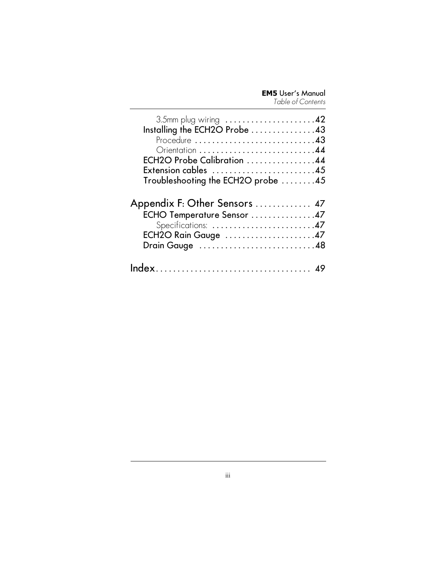| 3.5mm plug wiring $\dots\dots\dots\dots\dots\dots\dots$<br>Installing the ECH2O Probe 43<br>Procedure $\ldots \ldots \ldots \ldots \ldots \ldots \ldots \ldots 43$<br>Orientation $\ldots \ldots \ldots \ldots \ldots \ldots \ldots \ldots 44$<br>ECH2O Probe Calibration 44 |  |
|------------------------------------------------------------------------------------------------------------------------------------------------------------------------------------------------------------------------------------------------------------------------------|--|
| Extension cables 45                                                                                                                                                                                                                                                          |  |
| Troubleshooting the ECH2O probe 45                                                                                                                                                                                                                                           |  |
| Appendix F: Other Sensors  47<br>ECHO Temperature Sensor 47<br>Specifications: $\ldots \ldots \ldots \ldots \ldots \ldots \ldots 47$<br>ECH2O Rain Gauge 47<br>Drain Gauge 48                                                                                                |  |
|                                                                                                                                                                                                                                                                              |  |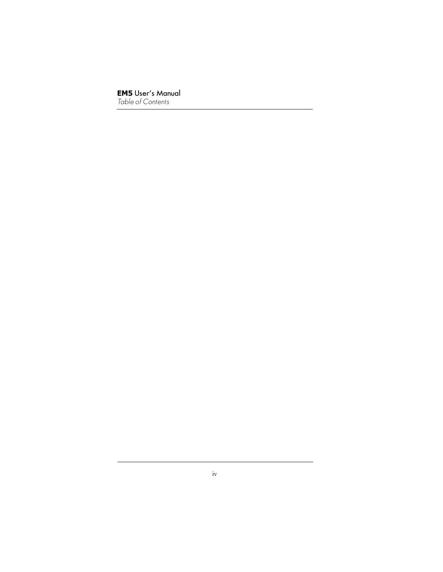#### **EM5** User's Manual *Table of Contents*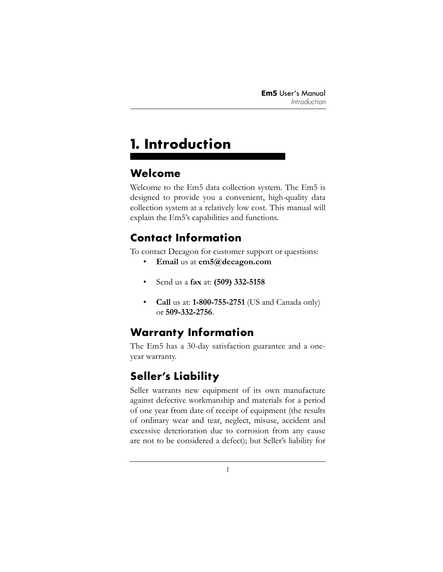# **1. Introduction**

## **Welcome**

Welcome to the Em5 data collection system. The Em5 is designed to provide you a convenient, high-quality data collection system at a relatively low cost. This manual will explain the Em5's capabilities and functions.

## **Contact Information**

To contact Decagon for customer support or questions:

- **Email** us at **em5@decagon.com**
- Send us a **fax** at: **(509) 332-5158**
- **Call** us at: **1-800-755-2751** (US and Canada only) or **509-332-2756**.

## **Warranty Information**

The Em5 has a 30-day satisfaction guarantee and a oneyear warranty.

## **Seller's Liability**

Seller warrants new equipment of its own manufacture against defective workmanship and materials for a period of one year from date of receipt of equipment (the results of ordinary wear and tear, neglect, misuse, accident and excessive deterioration due to corrosion from any cause are not to be considered a defect); but Seller's liability for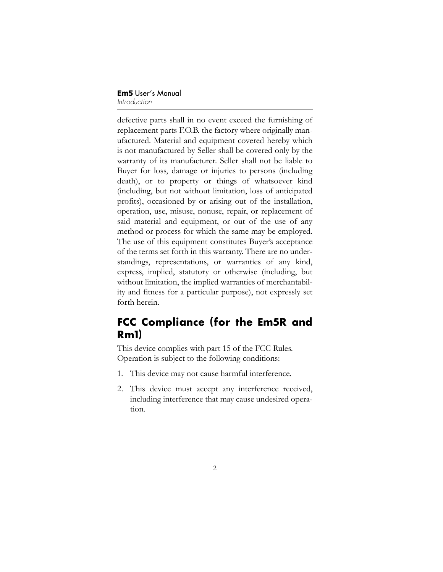defective parts shall in no event exceed the furnishing of replacement parts F.O.B. the factory where originally manufactured. Material and equipment covered hereby which is not manufactured by Seller shall be covered only by the warranty of its manufacturer. Seller shall not be liable to Buyer for loss, damage or injuries to persons (including death), or to property or things of whatsoever kind (including, but not without limitation, loss of anticipated profits), occasioned by or arising out of the installation, operation, use, misuse, nonuse, repair, or replacement of said material and equipment, or out of the use of any method or process for which the same may be employed. The use of this equipment constitutes Buyer's acceptance of the terms set forth in this warranty. There are no understandings, representations, or warranties of any kind, express, implied, statutory or otherwise (including, but without limitation, the implied warranties of merchantability and fitness for a particular purpose), not expressly set forth herein.

## **FCC Compliance (for the Em5R and Rm1)**

This device complies with part 15 of the FCC Rules. Operation is subject to the following conditions:

- 1. This device may not cause harmful interference.
- 2. This device must accept any interference received, including interference that may cause undesired operation.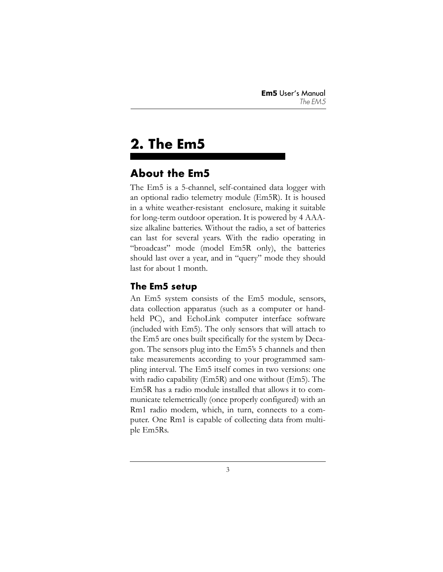# **2. The Em5**

## **About the Em5**

The Em5 is a 5-channel, self-contained data logger with an optional radio telemetry module (Em5R). It is housed in a white weather-resistant enclosure, making it suitable for long-term outdoor operation. It is powered by 4 AAAsize alkaline batteries. Without the radio, a set of batteries can last for several years. With the radio operating in "broadcast" mode (model Em5R only), the batteries should last over a year, and in "query" mode they should last for about 1 month.

#### **The Em5 setup**

An Em5 system consists of the Em5 module, sensors, data collection apparatus (such as a computer or handheld PC), and EchoLink computer interface software (included with Em5). The only sensors that will attach to the Em5 are ones built specifically for the system by Decagon. The sensors plug into the Em5's 5 channels and then take measurements according to your programmed sampling interval. The Em5 itself comes in two versions: one with radio capability (Em5R) and one without (Em5). The Em5R has a radio module installed that allows it to communicate telemetrically (once properly configured) with an Rm1 radio modem, which, in turn, connects to a computer. One Rm1 is capable of collecting data from multiple Em5Rs.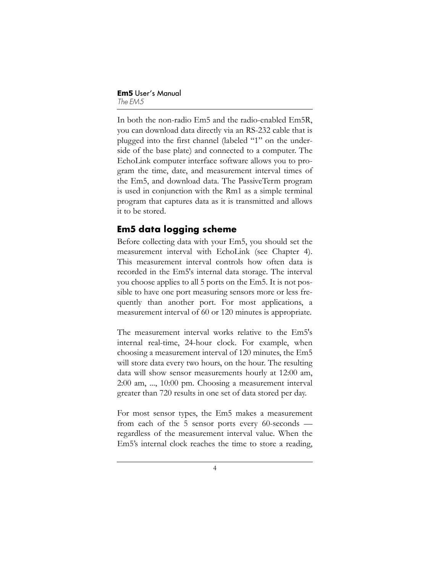In both the non-radio Em5 and the radio-enabled Em5R, you can download data directly via an RS-232 cable that is plugged into the first channel (labeled "1" on the underside of the base plate) and connected to a computer. The EchoLink computer interface software allows you to program the time, date, and measurement interval times of the Em5, and download data. The PassiveTerm program is used in conjunction with the Rm1 as a simple terminal program that captures data as it is transmitted and allows it to be stored.

#### **Em5 data logging scheme**

Before collecting data with your Em5, you should set the measurement interval with EchoLink (see Chapter 4). This measurement interval controls how often data is recorded in the Em5's internal data storage. The interval you choose applies to all 5 ports on the Em5. It is not possible to have one port measuring sensors more or less frequently than another port. For most applications, a measurement interval of 60 or 120 minutes is appropriate.

The measurement interval works relative to the Em5's internal real-time, 24-hour clock. For example, when choosing a measurement interval of 120 minutes, the Em5 will store data every two hours, on the hour. The resulting data will show sensor measurements hourly at 12:00 am, 2:00 am, ..., 10:00 pm. Choosing a measurement interval greater than 720 results in one set of data stored per day.

For most sensor types, the Em5 makes a measurement from each of the 5 sensor ports every 60-seconds regardless of the measurement interval value. When the Em5's internal clock reaches the time to store a reading,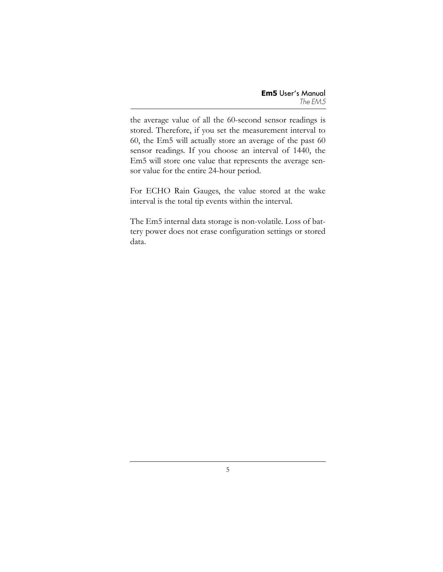the average value of all the 60-second sensor readings is stored. Therefore, if you set the measurement interval to 60, the Em5 will actually store an average of the past 60 sensor readings. If you choose an interval of 1440, the Em5 will store one value that represents the average sensor value for the entire 24-hour period.

For ECHO Rain Gauges, the value stored at the wake interval is the total tip events within the interval.

The Em5 internal data storage is non-volatile. Loss of battery power does not erase configuration settings or stored data.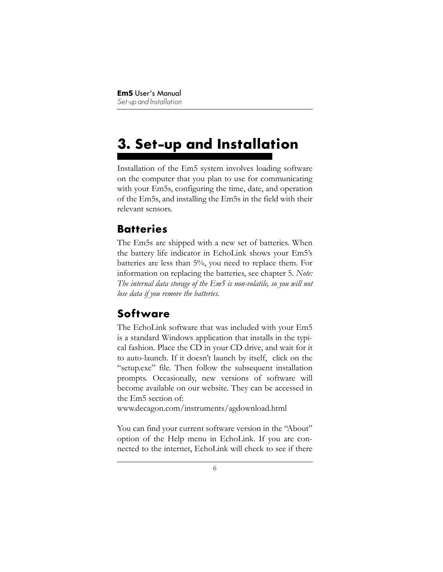# **3. Set-up and Installation**

Installation of the Em5 system involves loading software on the computer that you plan to use for communicating with your Em5s, configuring the time, date, and operation of the Em5s, and installing the Em5s in the field with their relevant sensors.

## **Batteries**

The Em5s are shipped with a new set of batteries. When the battery life indicator in EchoLink shows your Em5's batteries are less than 5%, you need to replace them. For information on replacing the batteries, see chapter 5. *Note: The internal data storage of the Em5 is non-volatile, so you will not lose data if you remove the batteries.*

## **Software**

The EchoLink software that was included with your Em5 is a standard Windows application that installs in the typical fashion. Place the CD in your CD drive, and wait for it to auto-launch. If it doesn't launch by itself, click on the "setup.exe" file. Then follow the subsequent installation prompts. Occasionally, new versions of software will become available on our website. They can be accessed in the Em5 section of:

www.decagon.com/instruments/agdownload.html

You can find your current software version in the "About" option of the Help menu in EchoLink. If you are connected to the internet, EchoLink will check to see if there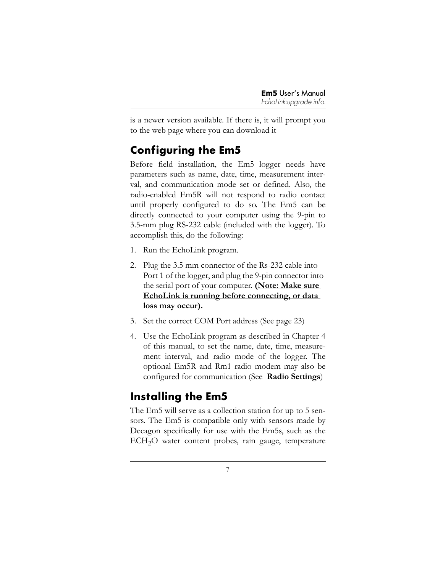is a newer version available. If there is, it will prompt you to the web page where you can download it

## **Configuring the Em5**

Before field installation, the Em5 logger needs have parameters such as name, date, time, measurement interval, and communication mode set or defined. Also, the radio-enabled Em5R will not respond to radio contact until properly configured to do so. The Em5 can be directly connected to your computer using the 9-pin to 3.5-mm plug RS-232 cable (included with the logger). To accomplish this, do the following:

- 1. Run the EchoLink program.
- 2. Plug the 3.5 mm connector of the Rs-232 cable into Port 1 of the logger, and plug the 9-pin connector into the serial port of your computer. **(Note: Make sure EchoLink is running before connecting, or data loss may occur).**
- 3. Set the correct COM Port address (See page 23)
- 4. Use the EchoLink program as described in Chapter 4 of this manual, to set the name, date, time, measurement interval, and radio mode of the logger. The optional Em5R and Rm1 radio modem may also be configured for communication (See **Radio Settings**)

## **Installing the Em5**

The Em5 will serve as a collection station for up to 5 sensors. The Em5 is compatible only with sensors made by Decagon specifically for use with the Em5s, such as the  $ECH<sub>2</sub>O$  water content probes, rain gauge, temperature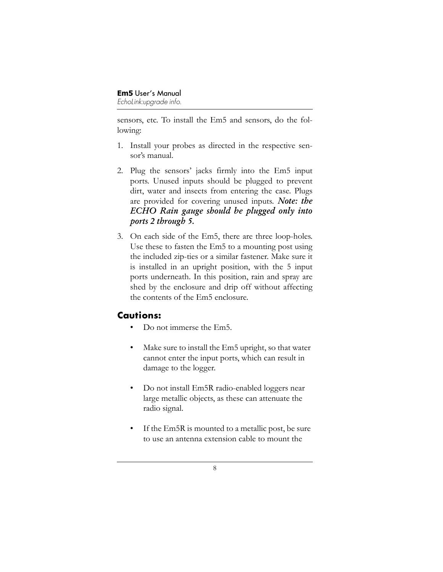sensors, etc. To install the Em5 and sensors, do the following:

- 1. Install your probes as directed in the respective sensor's manual.
- 2. Plug the sensors' jacks firmly into the Em5 input ports. Unused inputs should be plugged to prevent dirt, water and insects from entering the case. Plugs are provided for covering unused inputs. *Note: the ECHO Rain gauge should be plugged only into ports 2 through 5.*
- 3. On each side of the Em5, there are three loop-holes. Use these to fasten the Em5 to a mounting post using the included zip-ties or a similar fastener. Make sure it is installed in an upright position, with the 5 input ports underneath. In this position, rain and spray are shed by the enclosure and drip off without affecting the contents of the Em5 enclosure.

#### **Cautions:**

- Do not immerse the Em5.
- Make sure to install the Em5 upright, so that water cannot enter the input ports, which can result in damage to the logger.
- Do not install Em5R radio-enabled loggers near large metallic objects, as these can attenuate the radio signal.
- If the Em5R is mounted to a metallic post, be sure to use an antenna extension cable to mount the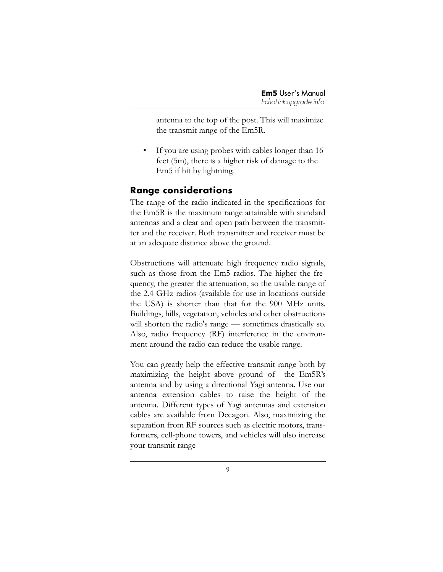antenna to the top of the post. This will maximize the transmit range of the Em5R.

If you are using probes with cables longer than 16 feet (5m), there is a higher risk of damage to the Em5 if hit by lightning.

#### **Range considerations**

The range of the radio indicated in the specifications for the Em5R is the maximum range attainable with standard antennas and a clear and open path between the transmitter and the receiver. Both transmitter and receiver must be at an adequate distance above the ground.

Obstructions will attenuate high frequency radio signals, such as those from the Em5 radios. The higher the frequency, the greater the attenuation, so the usable range of the 2.4 GHz radios (available for use in locations outside the USA) is shorter than that for the 900 MHz units. Buildings, hills, vegetation, vehicles and other obstructions will shorten the radio's range — sometimes drastically so. Also, radio frequency (RF) interference in the environment around the radio can reduce the usable range.

You can greatly help the effective transmit range both by maximizing the height above ground of the Em5R's antenna and by using a directional Yagi antenna. Use our antenna extension cables to raise the height of the antenna. Different types of Yagi antennas and extension cables are available from Decagon. Also, maximizing the separation from RF sources such as electric motors, transformers, cell-phone towers, and vehicles will also increase your transmit range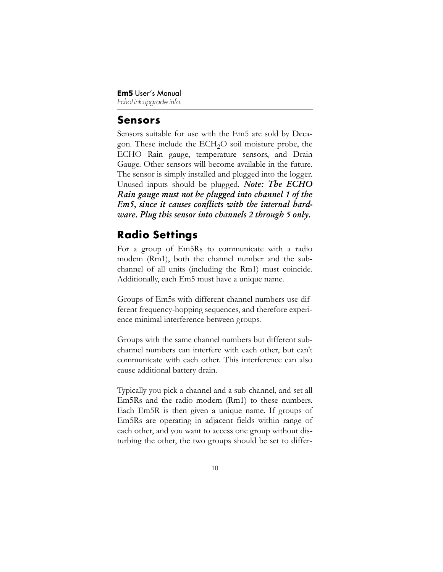## **Sensors**

Sensors suitable for use with the Em5 are sold by Decagon. These include the  $ECH<sub>2</sub>O$  soil moisture probe, the ECHO Rain gauge, temperature sensors, and Drain Gauge. Other sensors will become available in the future. The sensor is simply installed and plugged into the logger. Unused inputs should be plugged. *Note: The ECHO Rain gauge must not be plugged into channel 1 of the Em5, since it causes conflicts with the internal hardware. Plug this sensor into channels 2 through 5 only.*

## **Radio Settings**

For a group of Em5Rs to communicate with a radio modem (Rm1), both the channel number and the subchannel of all units (including the Rm1) must coincide. Additionally, each Em5 must have a unique name.

Groups of Em5s with different channel numbers use different frequency-hopping sequences, and therefore experience minimal interference between groups.

Groups with the same channel numbers but different subchannel numbers can interfere with each other, but can't communicate with each other. This interference can also cause additional battery drain.

Typically you pick a channel and a sub-channel, and set all Em5Rs and the radio modem (Rm1) to these numbers. Each Em5R is then given a unique name. If groups of Em5Rs are operating in adjacent fields within range of each other, and you want to access one group without disturbing the other, the two groups should be set to differ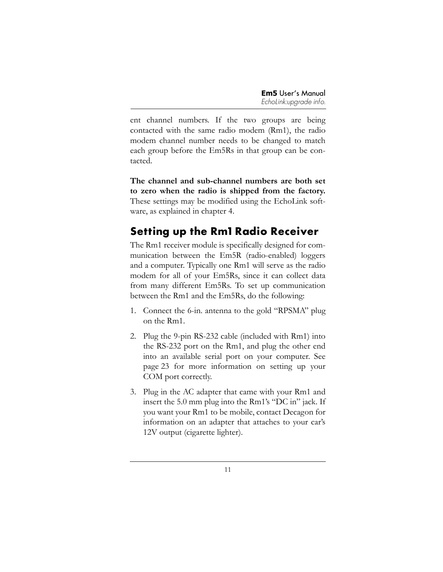ent channel numbers. If the two groups are being contacted with the same radio modem (Rm1), the radio modem channel number needs to be changed to match each group before the Em5Rs in that group can be contacted.

**The channel and sub-channel numbers are both set to zero when the radio is shipped from the factory.** These settings may be modified using the EchoLink software, as explained in chapter 4.

## **Setting up the Rm1 Radio Receiver**

The Rm1 receiver module is specifically designed for communication between the Em5R (radio-enabled) loggers and a computer. Typically one Rm1 will serve as the radio modem for all of your Em5Rs, since it can collect data from many different Em5Rs. To set up communication between the Rm1 and the Em5Rs, do the following:

- 1. Connect the 6-in. antenna to the gold "RPSMA" plug on the Rm1.
- 2. Plug the 9-pin RS-232 cable (included with Rm1) into the RS-232 port on the Rm1, and plug the other end into an available serial port on your computer. See page 23 for more information on setting up your COM port correctly.
- 3. Plug in the AC adapter that came with your Rm1 and insert the 5.0 mm plug into the Rm1's "DC in" jack. If you want your Rm1 to be mobile, contact Decagon for information on an adapter that attaches to your car's 12V output (cigarette lighter).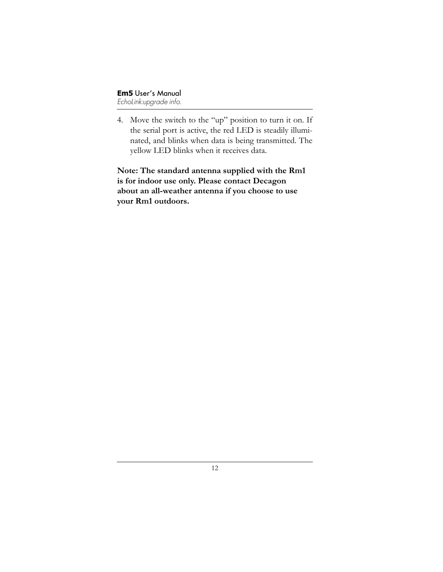4. Move the switch to the "up" position to turn it on. If the serial port is active, the red LED is steadily illuminated, and blinks when data is being transmitted. The yellow LED blinks when it receives data.

**Note: The standard antenna supplied with the Rm1 is for indoor use only. Please contact Decagon about an all-weather antenna if you choose to use your Rm1 outdoors.**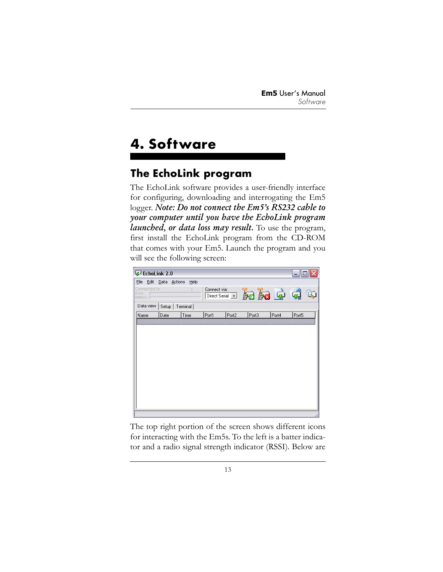## **4. Software**

## **The EchoLink program**

The EchoLink software provides a user-friendly interface for configuring, downloading and interrogating the Em5 logger. *Note: Do not connect the Em5's RS232 cable to your computer until you have the EchoLink program launched, or data loss may result.* To use the program, first install the EchoLink program from the CD-ROM that comes with your Em5. Launch the program and you will see the following screen:

| $\overline{\mathcal{C}}$ EchoLink 2.0 |                        |      |       |       |                                     |       | L,    |  |
|---------------------------------------|------------------------|------|-------|-------|-------------------------------------|-------|-------|--|
|                                       | File Edit Data Actions | Help |       |       |                                     |       |       |  |
| Connected to:<br>RSSI:<br>Battery: [  |                        | ÷    |       |       | <b>Connect via: 9 53 53 G G G G</b> |       |       |  |
| Data view                             | Setup   Terminal       |      |       |       |                                     |       |       |  |
| Name                                  | Date                   | Time | Port1 | Port2 | Port3                               | Port4 | Port5 |  |
|                                       |                        |      |       |       |                                     |       |       |  |
|                                       |                        |      |       |       |                                     |       |       |  |
|                                       |                        |      |       |       |                                     |       |       |  |
|                                       |                        |      |       |       |                                     |       |       |  |
|                                       |                        |      |       |       |                                     |       |       |  |
|                                       |                        |      |       |       |                                     |       |       |  |
|                                       |                        |      |       |       |                                     |       |       |  |
|                                       |                        |      |       |       |                                     |       |       |  |
|                                       |                        |      |       |       |                                     |       |       |  |
|                                       |                        |      |       |       |                                     |       |       |  |
|                                       |                        |      |       |       |                                     |       |       |  |

The top right portion of the screen shows different icons for interacting with the Em5s. To the left is a batter indicator and a radio signal strength indicator (RSSI). Below are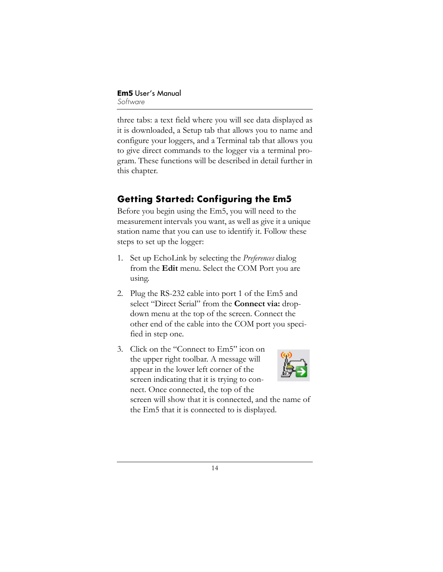three tabs: a text field where you will see data displayed as it is downloaded, a Setup tab that allows you to name and configure your loggers, and a Terminal tab that allows you to give direct commands to the logger via a terminal program. These functions will be described in detail further in this chapter.

#### **Getting Started: Configuring the Em5**

Before you begin using the Em5, you will need to the measurement intervals you want, as well as give it a unique station name that you can use to identify it. Follow these steps to set up the logger:

- 1. Set up EchoLink by selecting the *Preferences* dialog from the **Edit** menu. Select the COM Port you are using.
- 2. Plug the RS-232 cable into port 1 of the Em5 and select "Direct Serial" from the **Connect via:** dropdown menu at the top of the screen. Connect the other end of the cable into the COM port you specified in step one.
- 3. Click on the "Connect to Em5" icon on the upper right toolbar. A message will appear in the lower left corner of the screen indicating that it is trying to connect. Once connected, the top of the



screen will show that it is connected, and the name of the Em5 that it is connected to is displayed.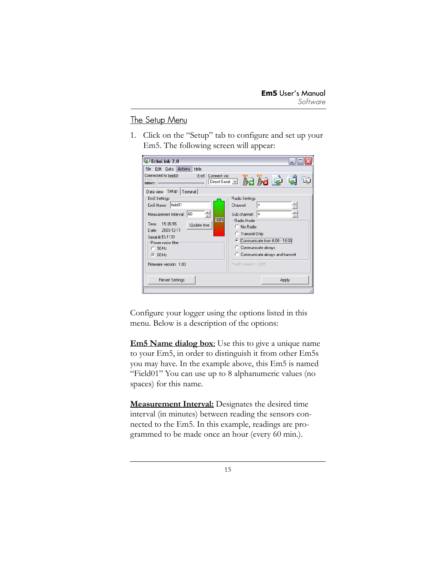#### **The Setup Menu**

1. Click on the "Setup" tab to configure and set up your Em5. The following screen will appear:

| $\sqrt{2}$ EchoLink 2.0                                                                                                                                                                       |                                                                                                                                                                                                |
|-----------------------------------------------------------------------------------------------------------------------------------------------------------------------------------------------|------------------------------------------------------------------------------------------------------------------------------------------------------------------------------------------------|
| File Edit<br><b>Actions</b><br>Help<br>Data<br>Connected to: field01<br>:Em5<br>Connect via:<br>RSSIt<br>Battery: III<br>Data view Setup<br>Terminal<br>Em5 Settings                          | Direct Via (2) 2019<br>Radio Settings                                                                                                                                                          |
| Em5 Name:   field01<br>킄<br>60<br>Measurement Interval:<br>100%<br>15:35:55<br>Time:<br>Update time<br>2003-12-11<br>Date:<br>Serial # EL1133<br>Power noise filter<br>$C$ 50 Hz<br>$G$ 60 Hz | 4<br>Channel:<br>싂<br>14<br>Sub channel:<br>Badio Mode<br>C No Radio<br><b>C</b> Transmit Only<br>C Communicate from 6:00 - 18:00<br>C Communicate always<br>C Communicate always and transmit |
| Firmware version: 1.83<br><b>Revert Settings</b>                                                                                                                                              | Badio version: 428E<br>Apply                                                                                                                                                                   |

Configure your logger using the options listed in this menu. Below is a description of the options:

**Em5 Name dialog box**: Use this to give a unique name to your Em5, in order to distinguish it from other Em5s you may have. In the example above, this Em5 is named "Field01" You can use up to 8 alphanumeric values (no spaces) for this name.

**Measurement Interval:** Designates the desired time interval (in minutes) between reading the sensors connected to the Em5. In this example, readings are programmed to be made once an hour (every 60 min.).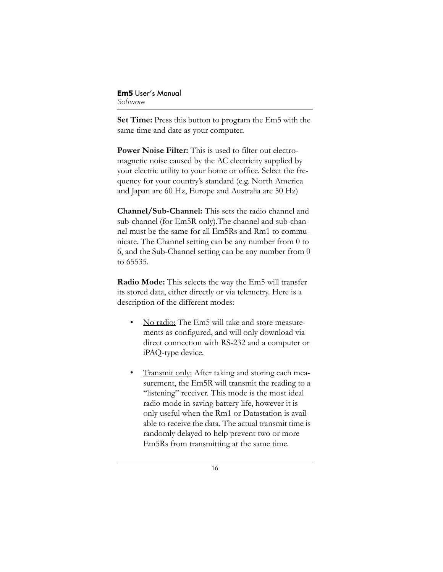**Set Time:** Press this button to program the Em5 with the same time and date as your computer.

**Power Noise Filter:** This is used to filter out electromagnetic noise caused by the AC electricity supplied by your electric utility to your home or office. Select the frequency for your country's standard (e.g. North America and Japan are 60 Hz, Europe and Australia are 50 Hz)

**Channel/Sub-Channel:** This sets the radio channel and sub-channel (for Em5R only).The channel and sub-channel must be the same for all Em5Rs and Rm1 to communicate. The Channel setting can be any number from 0 to 6, and the Sub-Channel setting can be any number from 0 to 65535.

**Radio Mode:** This selects the way the Em5 will transfer its stored data, either directly or via telemetry. Here is a description of the different modes:

- No radio: The Em5 will take and store measurements as configured, and will only download via direct connection with RS-232 and a computer or iPAQ-type device.
- Transmit only: After taking and storing each measurement, the Em5R will transmit the reading to a "listening" receiver. This mode is the most ideal radio mode in saving battery life, however it is only useful when the Rm1 or Datastation is available to receive the data. The actual transmit time is randomly delayed to help prevent two or more Em5Rs from transmitting at the same time.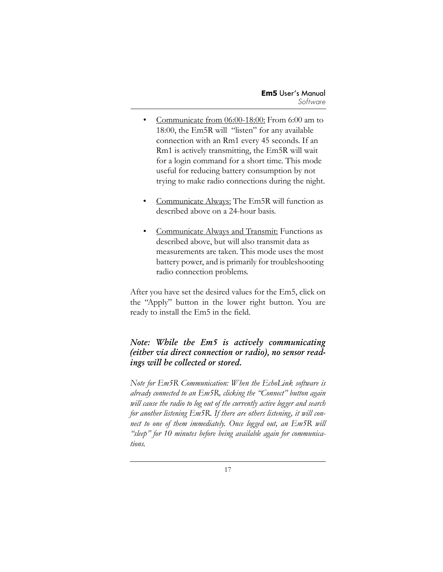- Communicate from 06:00-18:00: From 6:00 am to 18:00, the Em5R will "listen" for any available connection with an Rm1 every 45 seconds. If an Rm1 is actively transmitting, the Em5R will wait for a login command for a short time. This mode useful for reducing battery consumption by not trying to make radio connections during the night.
- Communicate Always: The Em5R will function as described above on a 24-hour basis.
- Communicate Always and Transmit: Functions as described above, but will also transmit data as measurements are taken. This mode uses the most battery power, and is primarily for troubleshooting radio connection problems.

After you have set the desired values for the Em5, click on the "Apply" button in the lower right button. You are ready to install the Em5 in the field.

#### *Note: While the Em5 is actively communicating (either via direct connection or radio), no sensor readings will be collected or stored.*

*Note for Em5R Communication: When the EchoLink software is already connected to an Em5R, clicking the "Connect" button again will cause the radio to log out of the currently active logger and search for another listening Em5R. If there are others listening, it will connect to one of them immediately. Once logged out, an Em5R will "sleep" for 10 minutes before being available again for communications.*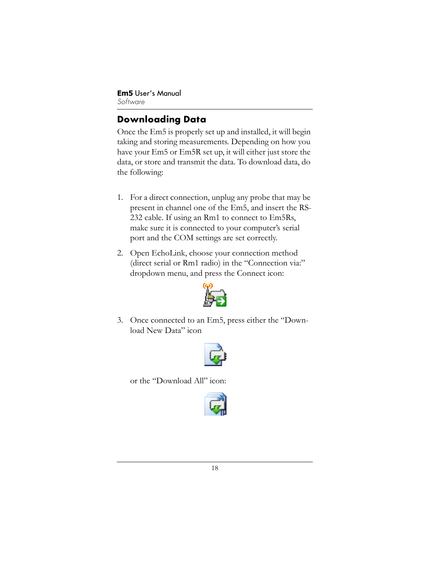#### **Downloading Data**

Once the Em5 is properly set up and installed, it will begin taking and storing measurements. Depending on how you have your Em5 or Em5R set up, it will either just store the data, or store and transmit the data. To download data, do the following:

- 1. For a direct connection, unplug any probe that may be present in channel one of the Em5, and insert the RS-232 cable. If using an Rm1 to connect to Em5Rs, make sure it is connected to your computer's serial port and the COM settings are set correctly.
- 2. Open EchoLink, choose your connection method (direct serial or Rm1 radio) in the "Connection via:" dropdown menu, and press the Connect icon:



3. Once connected to an Em5, press either the "Download New Data" icon



or the "Download All" icon:

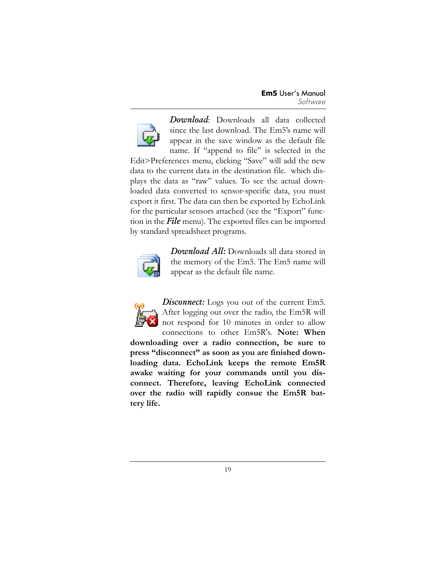

*Download*: Downloads all data collected since the last download. The Em5's name will appear in the save window as the default file name. If "append to file" is selected in the

Edit>Preferences menu, clicking "Save" will add the new data to the current data in the destination file. which displays the data as "raw" values. To see the actual downloaded data converted to sensor-specific data, you must export it first. The data can then be exported by EchoLink for the particular sensors attached (see the "Export" function in the *File* menu). The exported files can be imported by standard spreadsheet programs.



*Download All:* Downloads all data stored in the memory of the Em5. The Em5 name will appear as the default file name.



**Disconnect:** Logs you out of the current Em5. After logging out over the radio, the Em5R will not respond for 10 minutes in order to allow

connections to other Em5R's. **Note: When downloading over a radio connection, be sure to press "disconnect" as soon as you are finished downloading data. EchoLink keeps the remote Em5R awake waiting for your commands until you disconnect. Therefore, leaving EchoLink connected over the radio will rapidly consue the Em5R battery life.**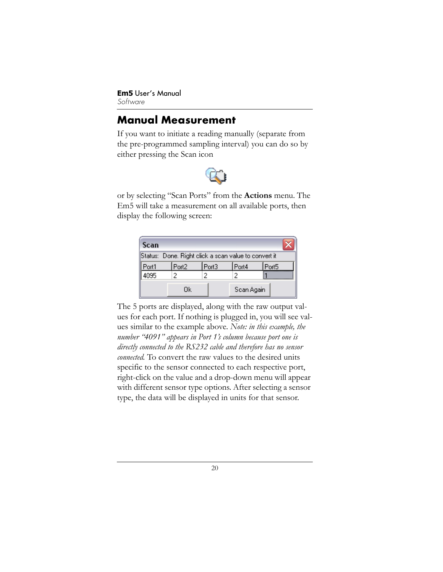## **Manual Measurement**

If you want to initiate a reading manually (separate from the pre-programmed sampling interval) you can do so by either pressing the Scan icon



or by selecting "Scan Ports" from the **Actions** menu. The Em5 will take a measurement on all available ports, then display the following screen:

| Scan  |       |                                                      |            |       |
|-------|-------|------------------------------------------------------|------------|-------|
|       |       | Status: Done. Right click a scan value to convert it |            |       |
| Port1 | Port2 | Port3                                                | Port4      | Port5 |
| 4095  |       |                                                      |            |       |
|       | Πk    |                                                      | Scan Again |       |

The 5 ports are displayed, along with the raw output values for each port. If nothing is plugged in, you will see values similar to the example above. *Note: in this example, the number "4091" appears in Port 1's column because port one is directly connected to the RS232 cable and therefore has no sensor connected.* To convert the raw values to the desired units specific to the sensor connected to each respective port, right-click on the value and a drop-down menu will appear with different sensor type options. After selecting a sensor type, the data will be displayed in units for that sensor.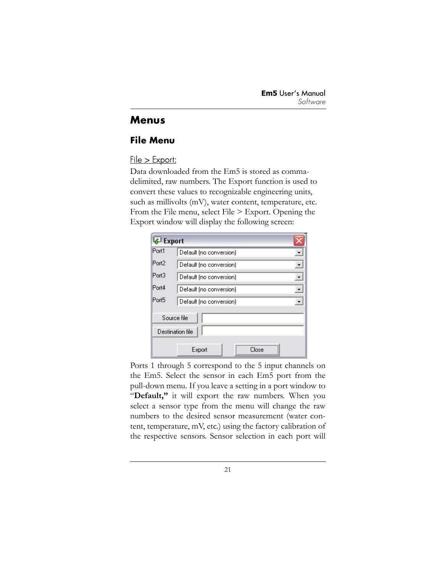## **Menus**

#### **File Menu**

#### File > Export:

Data downloaded from the Em5 is stored as commadelimited, raw numbers. The Export function is used to convert these values to recognizable engineering units, such as millivolts (mV), water content, temperature, etc. From the File menu, select File > Export. Opening the Export window will display the following screen:



Ports 1 through 5 correspond to the 5 input channels on the Em5. Select the sensor in each Em5 port from the pull-down menu. If you leave a setting in a port window to "Default," it will export the raw numbers. When you select a sensor type from the menu will change the raw numbers to the desired sensor measurement (water content, temperature, mV, etc.) using the factory calibration of the respective sensors. Sensor selection in each port will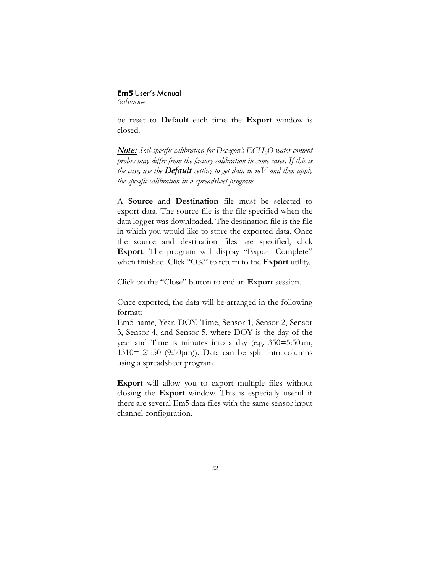be reset to **Default** each time the **Export** window is closed.

*Note:* Soil-specific calibration for Decagon's ECH<sub>2</sub>O water content *probes may differ from the factory calibration in some cases. If this is the case, use the Default setting to get data in mV and then apply the specific calibration in a spreadsheet program.*

A **Source** and **Destination** file must be selected to export data. The source file is the file specified when the data logger was downloaded. The destination file is the file in which you would like to store the exported data. Once the source and destination files are specified, click **Export**. The program will display "Export Complete" when finished. Click "OK" to return to the **Export** utility.

Click on the "Close" button to end an **Export** session.

Once exported, the data will be arranged in the following format:

Em5 name, Year, DOY, Time, Sensor 1, Sensor 2, Sensor 3, Sensor 4, and Sensor 5, where DOY is the day of the year and Time is minutes into a day (e.g. 350=5:50am, 1310= 21:50 (9:50pm)). Data can be split into columns using a spreadsheet program.

**Export** will allow you to export multiple files without closing the **Export** window. This is especially useful if there are several Em5 data files with the same sensor input channel configuration.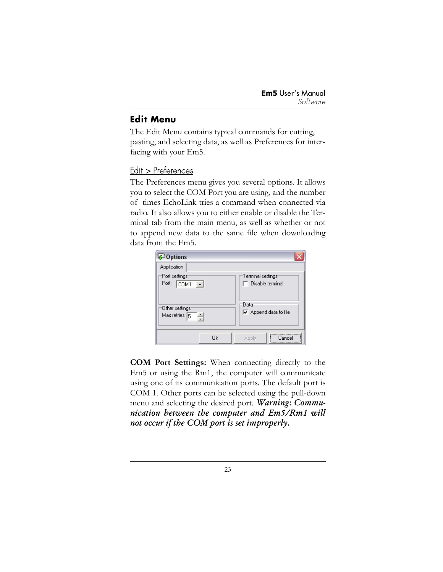#### **Edit Menu**

The Edit Menu contains typical commands for cutting, pasting, and selecting data, as well as Preferences for interfacing with your Em5.

#### Edit > Preferences

The Preferences menu gives you several options. It allows you to select the COM Port you are using, and the number of times EchoLink tries a command when connected via radio. It also allows you to either enable or disable the Terminal tab from the main menu, as well as whether or not to append new data to the same file when downloading data from the Em5.

| <sup>1</sup> Options                    |    |                                                     |
|-----------------------------------------|----|-----------------------------------------------------|
| Application                             |    |                                                     |
| Port settings:<br>Port:<br>$ COM1: -1 $ |    | Terminal settings:<br>Disable terminal              |
| Other settings:<br>Max retries: 5       | 릨  | Data<br>$\overline{\mathbf{v}}$ Append data to file |
|                                         | Ωk | Eancel<br>Aoolu                                     |

**COM Port Settings:** When connecting directly to the Em5 or using the Rm1, the computer will communicate using one of its communication ports. The default port is COM 1. Other ports can be selected using the pull-down menu and selecting the desired port. *Warning: Communication between the computer and Em5/Rm1 will not occur if the COM port is set improperly.*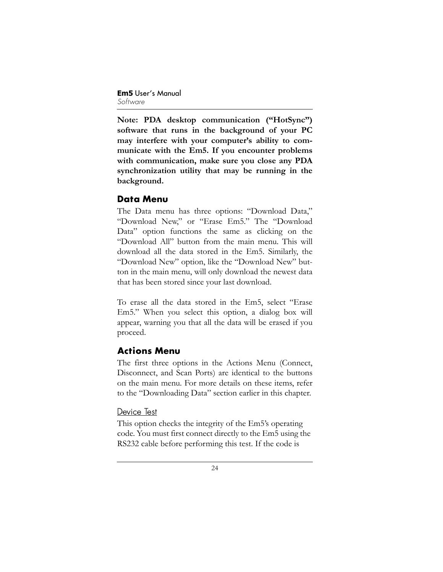**Note: PDA desktop communication ("HotSync") software that runs in the background of your PC may interfere with your computer's ability to communicate with the Em5. If you encounter problems with communication, make sure you close any PDA synchronization utility that may be running in the background.**

#### **Data Menu**

The Data menu has three options: "Download Data," "Download New," or "Erase Em5." The "Download Data" option functions the same as clicking on the "Download All" button from the main menu. This will download all the data stored in the Em5. Similarly, the "Download New" option, like the "Download New" button in the main menu, will only download the newest data that has been stored since your last download.

To erase all the data stored in the Em5, select "Erase Em5." When you select this option, a dialog box will appear, warning you that all the data will be erased if you proceed.

#### **Actions Menu**

The first three options in the Actions Menu (Connect, Disconnect, and Scan Ports) are identical to the buttons on the main menu. For more details on these items, refer to the "Downloading Data" section earlier in this chapter.

#### Device Test

This option checks the integrity of the Em5's operating code. You must first connect directly to the Em5 using the RS232 cable before performing this test. If the code is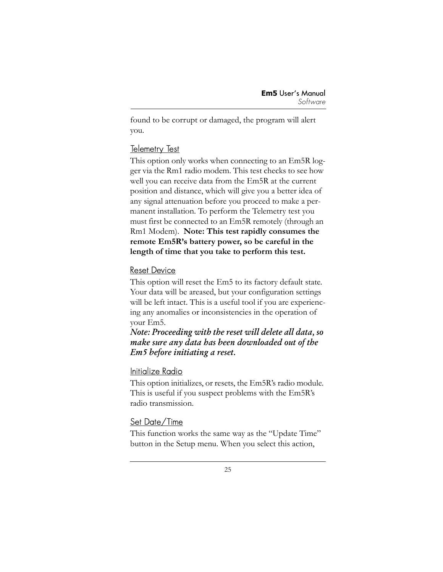found to be corrupt or damaged, the program will alert you.

#### **Telemetry Test**

This option only works when connecting to an Em5R logger via the Rm1 radio modem. This test checks to see how well you can receive data from the Em5R at the current position and distance, which will give you a better idea of any signal attenuation before you proceed to make a permanent installation. To perform the Telemetry test you must first be connected to an Em5R remotely (through an Rm1 Modem). **Note: This test rapidly consumes the remote Em5R's battery power, so be careful in the length of time that you take to perform this test.**

#### Reset Device

This option will reset the Em5 to its factory default state. Your data will be areased, but your configuration settings will be left intact. This is a useful tool if you are experiencing any anomalies or inconsistencies in the operation of your Em5.

*Note: Proceeding with the reset will delete all data, so make sure any data has been downloaded out of the Em5 before initiating a reset.*

#### Initialize Radio

This option initializes, or resets, the Em5R's radio module. This is useful if you suspect problems with the Em5R's radio transmission.

#### Set Date/Time

This function works the same way as the "Update Time" button in the Setup menu. When you select this action,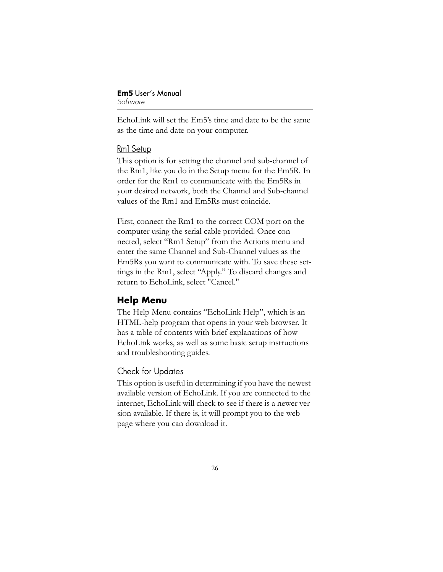EchoLink will set the Em5's time and date to be the same as the time and date on your computer.

#### Rm1 Setup

This option is for setting the channel and sub-channel of the Rm1, like you do in the Setup menu for the Em5R. In order for the Rm1 to communicate with the Em5Rs in your desired network, both the Channel and Sub-channel values of the Rm1 and Em5Rs must coincide.

First, connect the Rm1 to the correct COM port on the computer using the serial cable provided. Once connected, select "Rm1 Setup" from the Actions menu and enter the same Channel and Sub-Channel values as the Em5Rs you want to communicate with. To save these settings in the Rm1, select "Apply." To discard changes and return to EchoLink, select "Cancel."

### **Help Menu**

The Help Menu contains "EchoLink Help", which is an HTML-help program that opens in your web browser. It has a table of contents with brief explanations of how EchoLink works, as well as some basic setup instructions and troubleshooting guides.

#### Check for Updates

This option is useful in determining if you have the newest available version of EchoLink. If you are connected to the internet, EchoLink will check to see if there is a newer version available. If there is, it will prompt you to the web page where you can download it.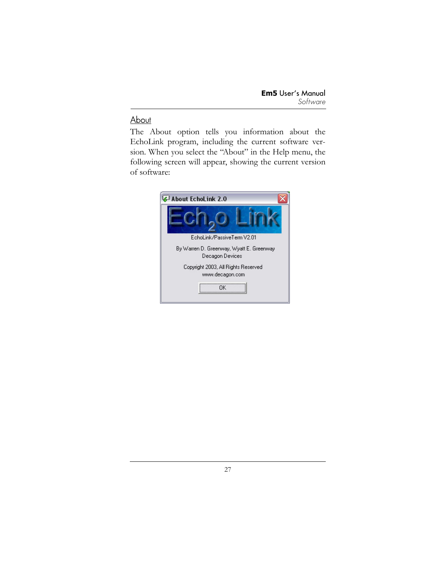#### About

The About option tells you information about the EchoLink program, including the current software version. When you select the "About" in the Help menu, the following screen will appear, showing the current version of software:

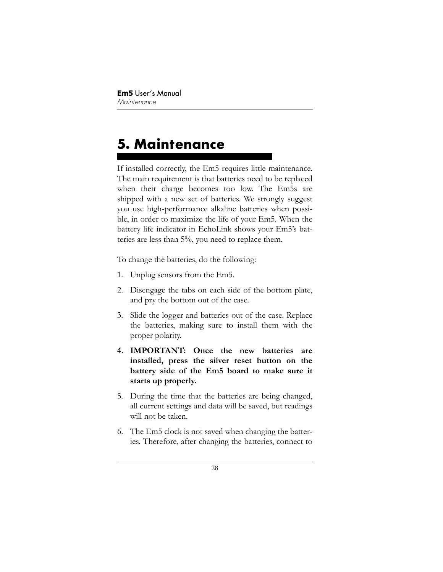# **5. Maintenance**

If installed correctly, the Em5 requires little maintenance. The main requirement is that batteries need to be replaced when their charge becomes too low. The Em5s are shipped with a new set of batteries. We strongly suggest you use high-performance alkaline batteries when possible, in order to maximize the life of your Em5. When the battery life indicator in EchoLink shows your Em5's batteries are less than 5%, you need to replace them.

To change the batteries, do the following:

- 1. Unplug sensors from the Em5.
- 2. Disengage the tabs on each side of the bottom plate, and pry the bottom out of the case.
- 3. Slide the logger and batteries out of the case. Replace the batteries, making sure to install them with the proper polarity.
- **4. IMPORTANT: Once the new batteries are installed, press the silver reset button on the battery side of the Em5 board to make sure it starts up properly.**
- 5. During the time that the batteries are being changed, all current settings and data will be saved, but readings will not be taken.
- 6. The Em5 clock is not saved when changing the batteries. Therefore, after changing the batteries, connect to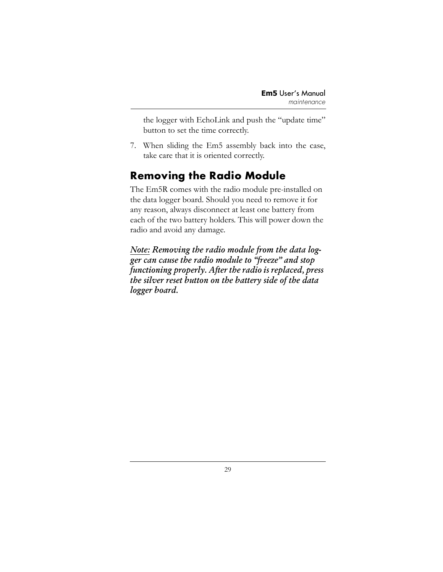the logger with EchoLink and push the "update time" button to set the time correctly.

7. When sliding the Em5 assembly back into the case, take care that it is oriented correctly.

## **Removing the Radio Module**

The Em5R comes with the radio module pre-installed on the data logger board. Should you need to remove it for any reason, always disconnect at least one battery from each of the two battery holders. This will power down the radio and avoid any damage.

*Note: Removing the radio module from the data logger can cause the radio module to "freeze" and stop functioning properly. After the radio is replaced, press the silver reset button on the battery side of the data logger board.*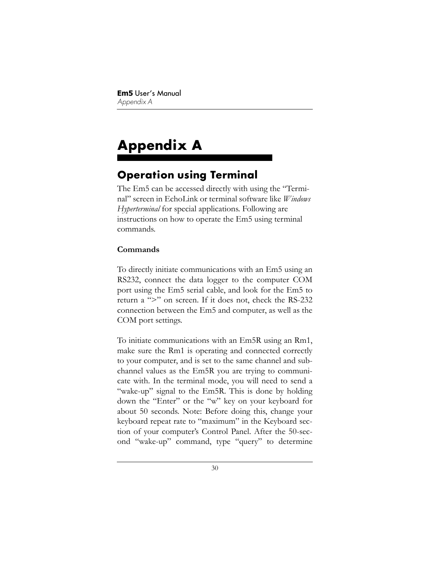# **Appendix A**

## **Operation using Terminal**

The Em5 can be accessed directly with using the "Terminal" screen in EchoLink or terminal software like *Windows Hyperterminal* for special applications. Following are instructions on how to operate the Em5 using terminal commands.

#### **Commands**

To directly initiate communications with an Em5 using an RS232, connect the data logger to the computer COM port using the Em5 serial cable, and look for the Em5 to return a ">" on screen. If it does not, check the RS-232 connection between the Em5 and computer, as well as the COM port settings.

To initiate communications with an Em5R using an Rm1, make sure the Rm1 is operating and connected correctly to your computer, and is set to the same channel and subchannel values as the Em5R you are trying to communicate with. In the terminal mode, you will need to send a "wake-up" signal to the Em5R. This is done by holding down the "Enter" or the "w" key on your keyboard for about 50 seconds. Note: Before doing this, change your keyboard repeat rate to "maximum" in the Keyboard section of your computer's Control Panel. After the 50-second "wake-up" command, type "query" to determine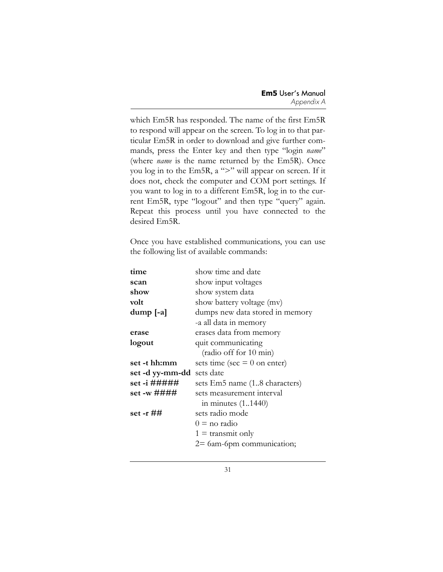which Em5R has responded. The name of the first Em5R to respond will appear on the screen. To log in to that particular Em5R in order to download and give further commands, press the Enter key and then type "login *name*" (where *name* is the name returned by the Em5R). Once you log in to the Em5R, a ">" will appear on screen. If it does not, check the computer and COM port settings. If you want to log in to a different Em5R, log in to the current Em5R, type "logout" and then type "query" again. Repeat this process until you have connected to the desired Em5R.

Once you have established communications, you can use the following list of available commands:

| time            | show time and date              |
|-----------------|---------------------------------|
| scan            | show input voltages             |
| show            | show system data                |
| volt            | show battery voltage (mv)       |
| $dump$ [-a]     | dumps new data stored in memory |
|                 | -a all data in memory           |
| erase           | erases data from memory         |
| logout          | quit communicating              |
|                 | (radio off for 10 min)          |
| set -t hh:mm    | sets time (sec $= 0$ on enter)  |
| set -d yy-mm-dd | sets date                       |
| set -i #####    | sets Em5 name (18 characters)   |
| set -w ####     | sets measurement interval       |
|                 | in minutes $(1.1440)$           |
| set -r $\#$ #   | sets radio mode                 |
|                 | $0 =$ no radio                  |
|                 | $1 =$ transmit only             |
|                 | 2= 6am-6pm communication;       |
|                 |                                 |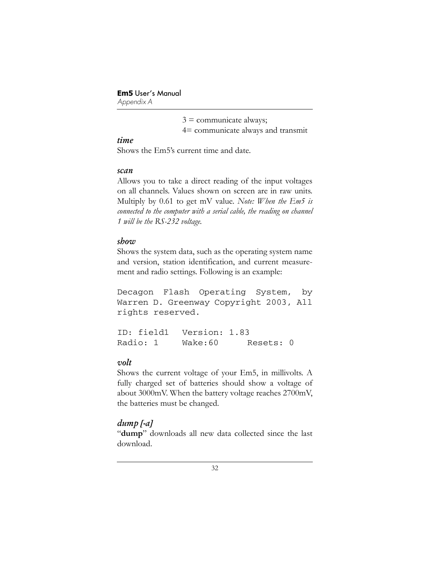$3 =$  communicate always; 4= communicate always and transmit

#### *time*

Shows the Em5's current time and date.

#### *scan*

Allows you to take a direct reading of the input voltages on all channels. Values shown on screen are in raw units. Multiply by 0.61 to get mV value. *Note: When the Em5 is connected to the computer with a serial cable, the reading on channel 1 will be the RS-232 voltage.*

#### *show*

Shows the system data, such as the operating system name and version, station identification, and current measurement and radio settings. Following is an example:

```
Decagon Flash Operating System, by
Warren D. Greenway Copyright 2003, All
rights reserved.
```

```
ID: field1 Version: 1.83
Radio: 1 Wake:60 Resets: 0
```
#### *volt*

Shows the current voltage of your Em5, in millivolts. A fully charged set of batteries should show a voltage of about 3000mV. When the battery voltage reaches 2700mV, the batteries must be changed.

#### *dump [-a]*

"**dump**" downloads all new data collected since the last download.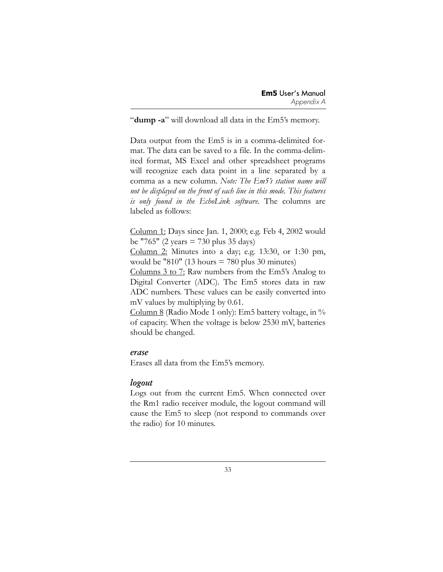"**dump -a**" will download all data in the Em5's memory.

Data output from the Em5 is in a comma-delimited format. The data can be saved to a file. In the comma-delimited format, MS Excel and other spreadsheet programs will recognize each data point in a line separated by a comma as a new column. *Note: The Em5's station name will not be displayed on the front of each line in this mode. This features is only found in the EchoLink software.* The columns are labeled as follows:

Column 1: Days since Jan. 1, 2000; e.g. Feb 4, 2002 would be "765" (2 years = 730 plus 35 days)

Column 2: Minutes into a day; e.g. 13:30, or 1:30 pm, would be "810" (13 hours  $= 780$  plus 30 minutes)

Columns 3 to 7: Raw numbers from the Em5's Analog to Digital Converter (ADC). The Em5 stores data in raw ADC numbers. These values can be easily converted into mV values by multiplying by 0.61.

Column 8 (Radio Mode 1 only): Em5 battery voltage, in % of capacity. When the voltage is below 2530 mV, batteries should be changed.

#### *erase*

Erases all data from the Em5's memory.

#### *logout*

Logs out from the current Em5. When connected over the Rm1 radio receiver module, the logout command will cause the Em5 to sleep (not respond to commands over the radio) for 10 minutes.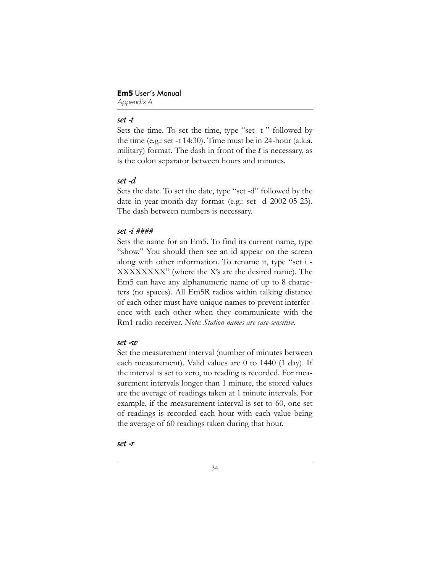#### *set -t*

Sets the time. To set the time, type "set -t " followed by the time (e.g.: set -t 14:30). Time must be in 24-hour (a.k.a. military) format. The dash in front of the *t* is necessary, as is the colon separator between hours and minutes.

#### *set -d*

Sets the date. To set the date, type "set -d" followed by the date in year-month-day format (e.g.: set -d 2002-05-23). The dash between numbers is necessary.

#### *set -i ####*

Sets the name for an Em5. To find its current name, type "show." You should then see an id appear on the screen along with other information. To rename it, type "set i - XXXXXXXX" (where the X's are the desired name). The Em5 can have any alphanumeric name of up to 8 characters (no spaces). All Em5R radios within talking distance of each other must have unique names to prevent interference with each other when they communicate with the Rm1 radio receiver. *Note: Station names are case-sensitive.*

#### *set -w*

Set the measurement interval (number of minutes between each measurement). Valid values are 0 to 1440 (1 day). If the interval is set to zero, no reading is recorded. For measurement intervals longer than 1 minute, the stored values are the average of readings taken at 1 minute intervals. For example, if the measurement interval is set to 60, one set of readings is recorded each hour with each value being the average of 60 readings taken during that hour.

*set -r*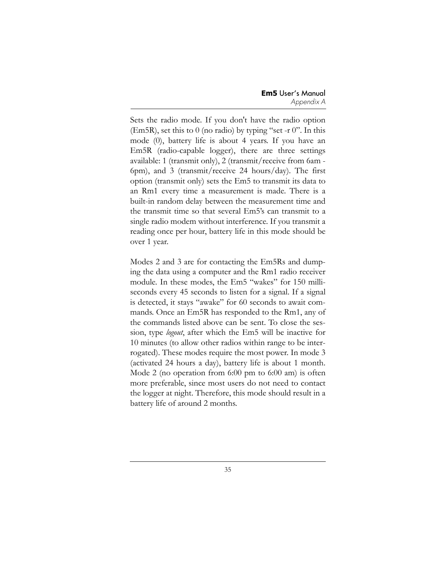Sets the radio mode. If you don't have the radio option (Em5R), set this to 0 (no radio) by typing "set -r 0". In this mode (0), battery life is about 4 years. If you have an Em5R (radio-capable logger), there are three settings available: 1 (transmit only), 2 (transmit/receive from 6am - 6pm), and 3 (transmit/receive 24 hours/day). The first option (transmit only) sets the Em5 to transmit its data to an Rm1 every time a measurement is made. There is a built-in random delay between the measurement time and the transmit time so that several Em5's can transmit to a single radio modem without interference. If you transmit a reading once per hour, battery life in this mode should be over 1 year.

Modes 2 and 3 are for contacting the Em5Rs and dumping the data using a computer and the Rm1 radio receiver module. In these modes, the Em5 "wakes" for 150 milliseconds every 45 seconds to listen for a signal. If a signal is detected, it stays "awake" for 60 seconds to await commands. Once an Em5R has responded to the Rm1, any of the commands listed above can be sent. To close the session, type *logout*, after which the Em5 will be inactive for 10 minutes (to allow other radios within range to be interrogated). These modes require the most power. In mode 3 (activated 24 hours a day), battery life is about 1 month. Mode 2 (no operation from 6:00 pm to 6:00 am) is often more preferable, since most users do not need to contact the logger at night. Therefore, this mode should result in a battery life of around 2 months.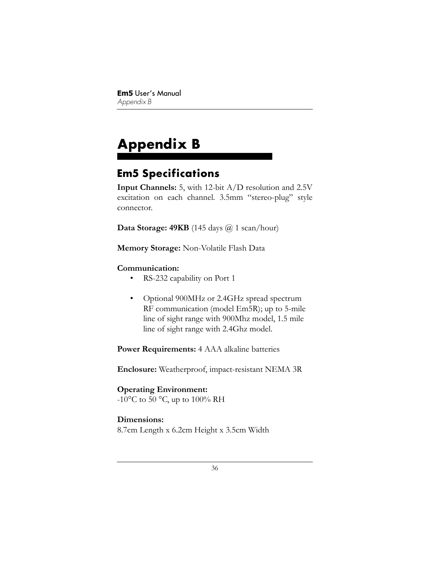# **Appendix B**

## **Em5 Specifications**

**Input Channels:** 5, with 12-bit A/D resolution and 2.5V excitation on each channel. 3.5mm "stereo-plug" style connector.

**Data Storage: 49KB** (145 days @ 1 scan/hour)

**Memory Storage:** Non-Volatile Flash Data

#### **Communication:**

- RS-232 capability on Port 1
- Optional 900MHz or 2.4GHz spread spectrum RF communication (model Em5R); up to 5-mile line of sight range with 900Mhz model, 1.5 mile line of sight range with 2.4Ghz model.

**Power Requirements:** 4 AAA alkaline batteries

**Enclosure:** Weatherproof, impact-resistant NEMA 3R

#### **Operating Environment:**

 $-10^{\circ}$ C to 50 °C, up to 100% RH

#### **Dimensions:**

8.7cm Length x 6.2cm Height x 3.5cm Width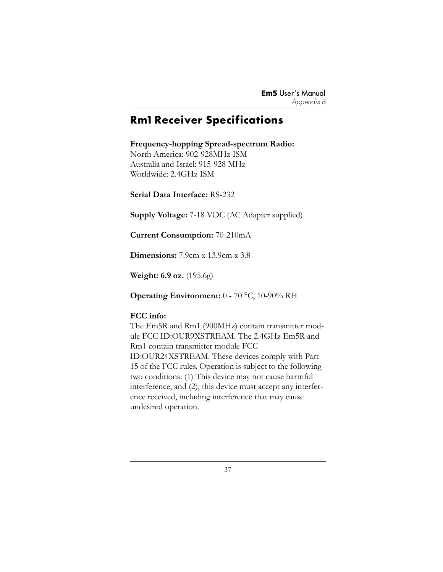#### **Rm1 Receiver Specifications**

**Frequency-hopping Spread-spectrum Radio:** North America: 902-928MHz ISM Australia and Israel: 915-928 MHz Worldwide: 2.4GHz ISM

**Serial Data Interface:** RS-232

**Supply Voltage:** 7-18 VDC (AC Adapter supplied)

**Current Consumption:** 70-210mA

**Dimensions:** 7.9cm x 13.9cm x 3.8

**Weight: 6.9 oz.** (195.6g)

**Operating Environment:** 0 - 70 °C, 10-90% RH

#### **FCC info:**

The Em5R and Rm1 (900MHz) contain transmitter module FCC ID:OUR9XSTREAM. The 2.4GHz Em5R and Rm1 contain transmitter module FCC

ID:OUR24XSTREAM. These devices comply with Part 15 of the FCC rules. Operation is subject to the following two conditions: (1) This device may not cause harmful interference, and (2), this device must accept any interference received, including interference that may cause undesired operation.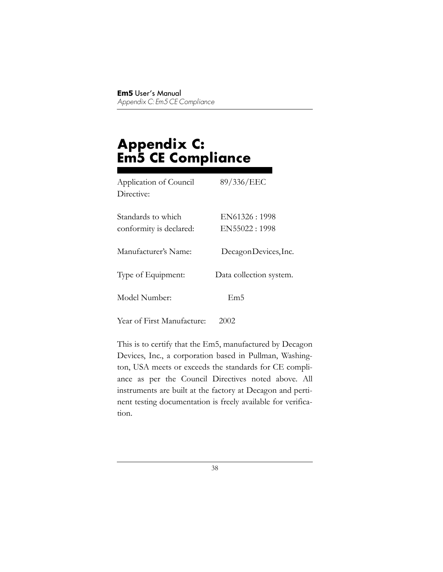## **Appendix C: Em5 CE Compliance**

| Application of Council<br>Directive:          | 89/336/EEC                     |
|-----------------------------------------------|--------------------------------|
| Standards to which<br>conformity is declared: | EN61326 : 1998<br>EN55022:1998 |
| Manufacturer's Name:                          | DecagonDevices, Inc.           |
| Type of Equipment:                            | Data collection system.        |
| Model Number:                                 | Em5                            |
| Year of First Manufacture:                    | 2002                           |

This is to certify that the Em5, manufactured by Decagon Devices, Inc., a corporation based in Pullman, Washington, USA meets or exceeds the standards for CE compliance as per the Council Directives noted above. All instruments are built at the factory at Decagon and pertinent testing documentation is freely available for verification.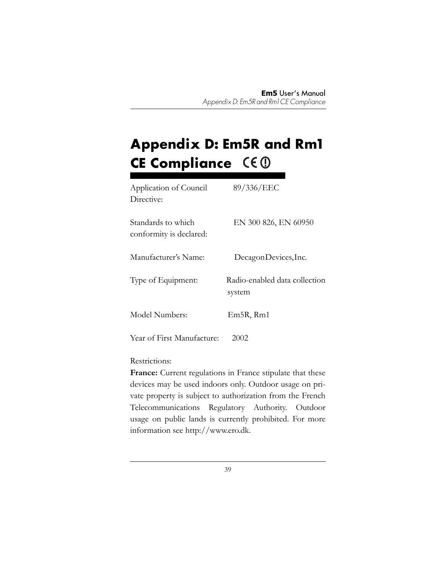# **Appendix D: Em5R and Rm1 CE Compliance**

| Application of Council<br>Directive:          | 89/336/EEC                              |
|-----------------------------------------------|-----------------------------------------|
| Standards to which<br>conformity is declared: | EN 300 826, EN 60950                    |
| Manufacturer's Name:                          | DecagonDevices, Inc.                    |
| Type of Equipment:                            | Radio-enabled data collection<br>system |
| Model Numbers:                                | Em5R, Rm1                               |
| Year of First Manufacture:                    | 2002                                    |

Restrictions:

**France:** Current regulations in France stipulate that these devices may be used indoors only. Outdoor usage on private property is subject to authorization from the French Telecommunications Regulatory Authority. Outdoor usage on public lands is currently prohibited. For more information see http://www.ero.dk.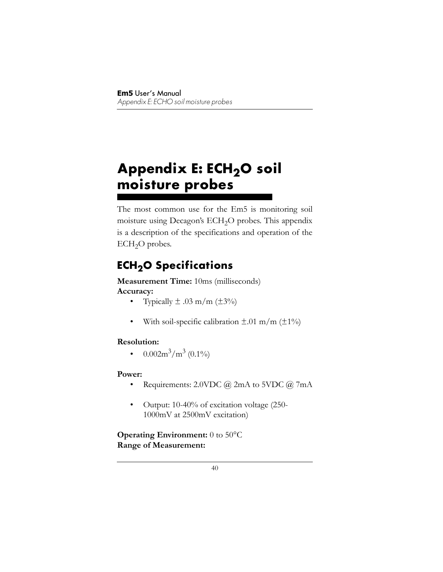# Appendix E: ECH<sub>2</sub>O soil **moisture probes**

The most common use for the Em5 is monitoring soil moisture using Decagon's ECH<sub>2</sub>O probes. This appendix is a description of the specifications and operation of the  $ECH<sub>2</sub>O$  probes.

## **ECH2O Specifications**

#### **Measurement Time:** 10ms (milliseconds) **Accuracy:**

- Typically  $\pm$  .03 m/m ( $\pm$ 3%)
- With soil-specific calibration  $\pm .01$  m/m ( $\pm 1\%$ )

#### **Resolution:**

•  $0.002 \text{m}^3/\text{m}^3$  (0.1%)

**Power:**

- Requirements: 2.0VDC  $\omega$  2mA to 5VDC  $\omega$  7mA
- Output: 10-40% of excitation voltage (250- 1000mV at 2500mV excitation)

**Operating Environment:** 0 to 50°C **Range of Measurement:**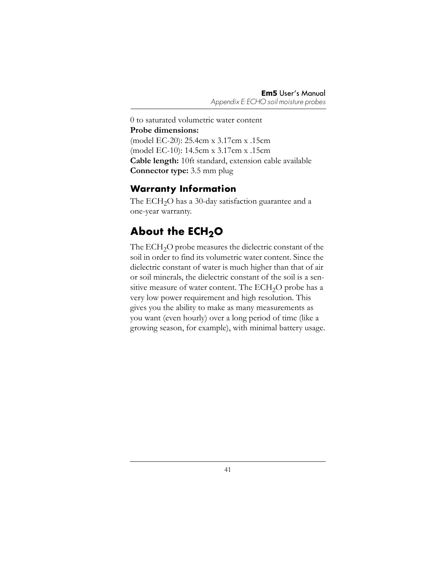0 to saturated volumetric water content **Probe dimensions:** (model EC-20): 25.4cm x 3.17cm x .15cm (model EC-10): 14.5cm x 3.17cm x .15cm **Cable length:** 10ft standard, extension cable available **Connector type:** 3.5 mm plug

#### **Warranty Information**

The ECH<sub>2</sub>O has a 30-day satisfaction guarantee and a one-year warranty.

## **About the ECH<sub>2</sub>O**

The  $ECH<sub>2</sub>O$  probe measures the dielectric constant of the soil in order to find its volumetric water content. Since the dielectric constant of water is much higher than that of air or soil minerals, the dielectric constant of the soil is a sensitive measure of water content. The  $ECH<sub>2</sub>O$  probe has a very low power requirement and high resolution. This gives you the ability to make as many measurements as you want (even hourly) over a long period of time (like a growing season, for example), with minimal battery usage.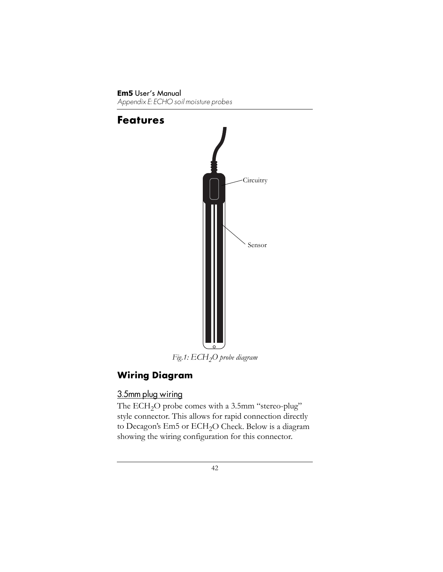#### **Em5** User's Manual

*Appendix E: ECHO soil moisture probes*

# **Features Circuitry** Sensor

*Fig.1: ECH2O probe diagram*

## **Wiring Diagram**

#### 3.5mm plug wiring

The ECH<sub>2</sub>O probe comes with a 3.5mm "stereo-plug" style connector. This allows for rapid connection directly to Decagon's Em5 or ECH<sub>2</sub>O Check. Below is a diagram showing the wiring configuration for this connector.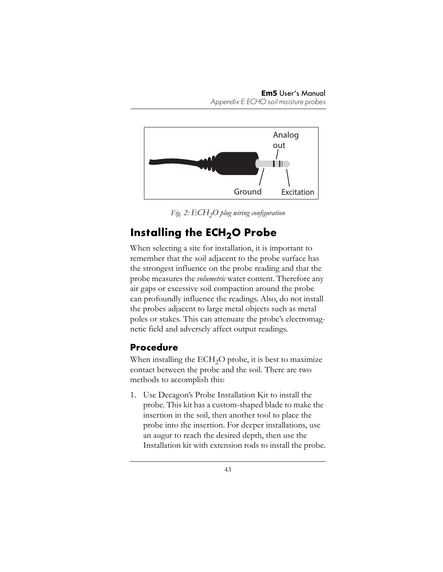

*Fig. 2: ECH<sub>2</sub>O plug wiring configuration* 

## **Installing the ECH<sub>2</sub>O Probe**

When selecting a site for installation, it is important to remember that the soil adjacent to the probe surface has the strongest influence on the probe reading and that the probe measures the *volumetric* water content. Therefore any air gaps or excessive soil compaction around the probe can profoundly influence the readings. Also, do not install the probes adjacent to large metal objects such as metal poles or stakes. This can attenuate the probe's electromagnetic field and adversely affect output readings.

#### **Procedure**

When installing the  $ECH<sub>2</sub>O$  probe, it is best to maximize contact between the probe and the soil. There are two methods to accomplish this:

1. Use Decagon's Probe Installation Kit to install the probe. This kit has a custom-shaped blade to make the insertion in the soil, then another tool to place the probe into the insertion. For deeper installations, use an augur to reach the desired depth, then use the Installation kit with extension rods to install the probe.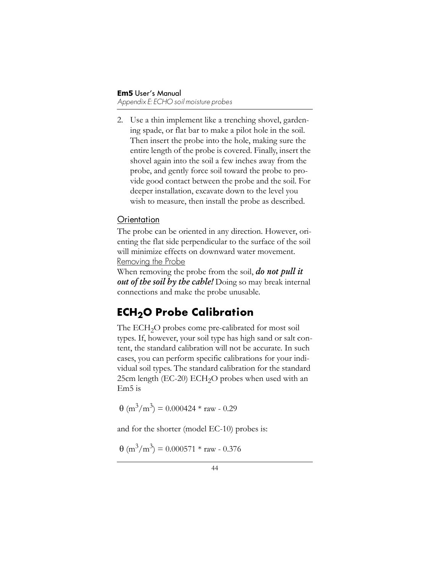2. Use a thin implement like a trenching shovel, gardening spade, or flat bar to make a pilot hole in the soil. Then insert the probe into the hole, making sure the entire length of the probe is covered. Finally, insert the shovel again into the soil a few inches away from the probe, and gently force soil toward the probe to provide good contact between the probe and the soil. For deeper installation, excavate down to the level you wish to measure, then install the probe as described.

#### Orientation

The probe can be oriented in any direction. However, orienting the flat side perpendicular to the surface of the soil will minimize effects on downward water movement. Removing the Probe

When removing the probe from the soil, *do not pull it out of the soil by the cable!* Doing so may break internal connections and make the probe unusable.

## **ECH<sub>2</sub>O Probe Calibration**

The  $ECH<sub>2</sub>O$  probes come pre-calibrated for most soil types. If, however, your soil type has high sand or salt content, the standard calibration will not be accurate. In such cases, you can perform specific calibrations for your individual soil types. The standard calibration for the standard 25cm length (EC-20) ECH<sub>2</sub>O probes when used with an Em5 is

$$
\theta \, (m^3/m^3) = 0.000424 * \text{raw} - 0.29
$$

and for the shorter (model EC-10) probes is:

$$
\theta \, (m^3/m^3) = 0.000571 * raw - 0.376
$$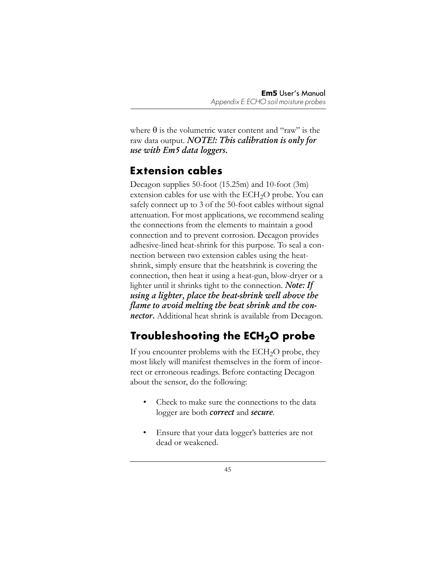where  $\theta$  is the volumetric water content and "raw" is the raw data output. *NOTE!: This calibration is only for use with Em5 data loggers.*

## **Extension cables**

Decagon supplies 50-foot (15.25m) and 10-foot (3m) extension cables for use with the  $ECH<sub>2</sub>O$  probe. You can safely connect up to 3 of the 50-foot cables without signal attenuation. For most applications, we recommend sealing the connections from the elements to maintain a good connection and to prevent corrosion. Decagon provides adhesive-lined heat-shrink for this purpose. To seal a connection between two extension cables using the heatshrink, simply ensure that the heatshrink is covering the connection, then heat it using a heat-gun, blow-dryer or a lighter until it shrinks tight to the connection. *Note: If using a lighter, place the heat-shrink well above the flame to avoid melting the heat shrink and the connector.* Additional heat shrink is available from Decagon.

## **Troubleshooting the ECH<sub>2</sub>O probe**

If you encounter problems with the  $ECH<sub>2</sub>O$  probe, they most likely will manifest themselves in the form of incorrect or erroneous readings. Before contacting Decagon about the sensor, do the following:

- Check to make sure the connections to the data logger are both *correct* and *secure*.
- Ensure that your data logger's batteries are not dead or weakened.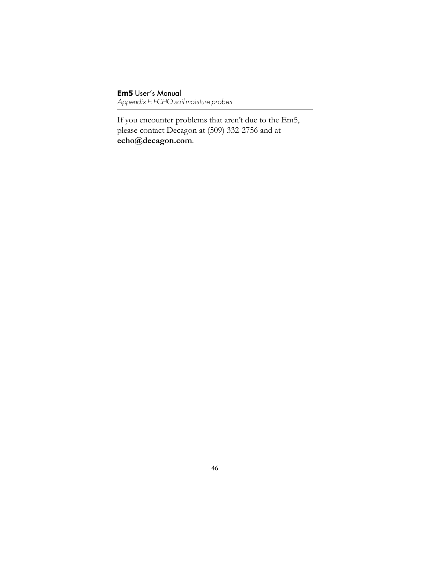If you encounter problems that aren't due to the Em5, please contact Decagon at (509) 332-2756 and at **echo@decagon.com**.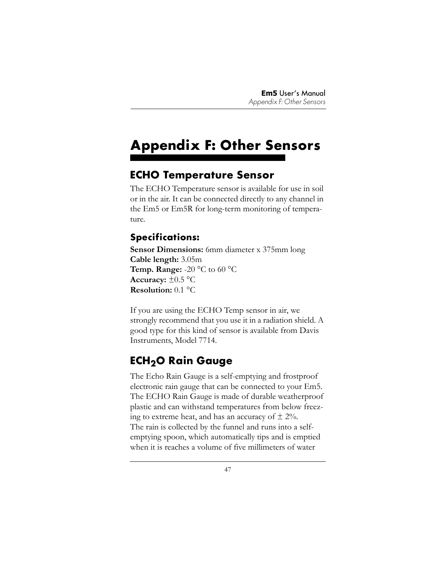# **Appendix F: Other Sensors**

## **ECHO Temperature Sensor**

The ECHO Temperature sensor is available for use in soil or in the air. It can be connected directly to any channel in the Em5 or Em5R for long-term monitoring of temperature.

#### **Specifications:**

**Sensor Dimensions:** 6mm diameter x 375mm long **Cable length:** 3.05m **Temp. Range:** -20 °C to 60 °C **Accuracy:** ±0.5 °C **Resolution:** 0.1 °C

If you are using the ECHO Temp sensor in air, we strongly recommend that you use it in a radiation shield. A good type for this kind of sensor is available from Davis Instruments, Model 7714.

## **ECH<sub>2</sub>O Rain Gauge**

The Echo Rain Gauge is a self-emptying and frostproof electronic rain gauge that can be connected to your Em5. The ECHO Rain Gauge is made of durable weatherproof plastic and can withstand temperatures from below freezing to extreme heat, and has an accuracy of  $\pm 2\%$ . The rain is collected by the funnel and runs into a selfemptying spoon, which automatically tips and is emptied when it is reaches a volume of five millimeters of water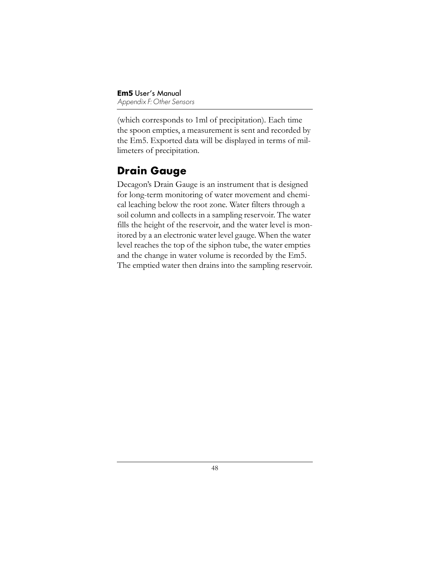(which corresponds to 1ml of precipitation). Each time the spoon empties, a measurement is sent and recorded by the Em5. Exported data will be displayed in terms of millimeters of precipitation.

## **Drain Gauge**

Decagon's Drain Gauge is an instrument that is designed for long-term monitoring of water movement and chemical leaching below the root zone. Water filters through a soil column and collects in a sampling reservoir. The water fills the height of the reservoir, and the water level is monitored by a an electronic water level gauge. When the water level reaches the top of the siphon tube, the water empties and the change in water volume is recorded by the Em5. The emptied water then drains into the sampling reservoir.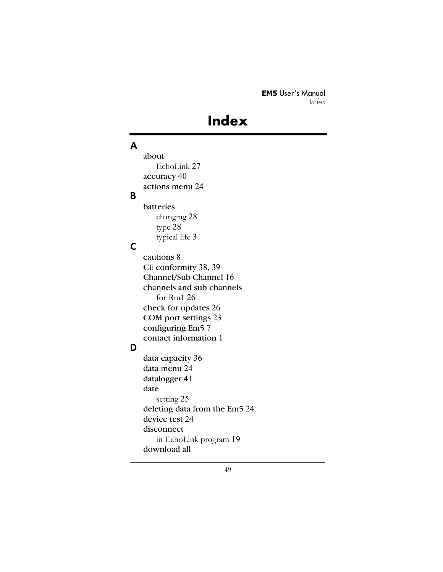#### **EM5** User's Manual *Index*

## **Index**

A about EchoLink 27 accuracy 40 actions menu 24 B batteries changing 28 type 28 typical life 3  $\mathsf{C}$ cautions 8 CE conformity 38, 39 Channel/Sub-Channel 16 channels and sub channels for Rm1 26 check for updates 26 COM port settings 23 configuring Em5 7 contact information 1 D data capacity 36 data menu 24 datalogger 41 date setting 25 deleting data from the Em5 24 device test 24 disconnect in EchoLink program 19 download all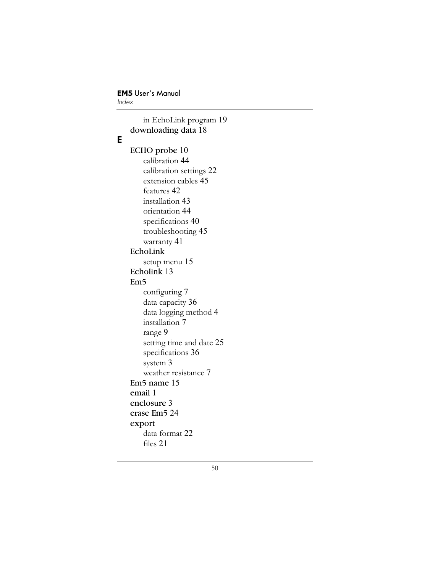**EM5** User's Manual

*Index*

in EchoLink program 19 downloading data 18 E ECHO probe 10 calibration 44 calibration settings 22 extension cables 45 features 42 installation 43 orientation 44 specifications 40 troubleshooting 45 warranty 41 EchoLink setup menu 15 Echolink 13 Em5 configuring 7 data capacity 36 data logging method 4 installation 7 range 9 setting time and date 25 specifications 36 system 3 weather resistance 7 Em5 name 15 email 1 enclosure 3 erase Em5 24 export data format 22 files 21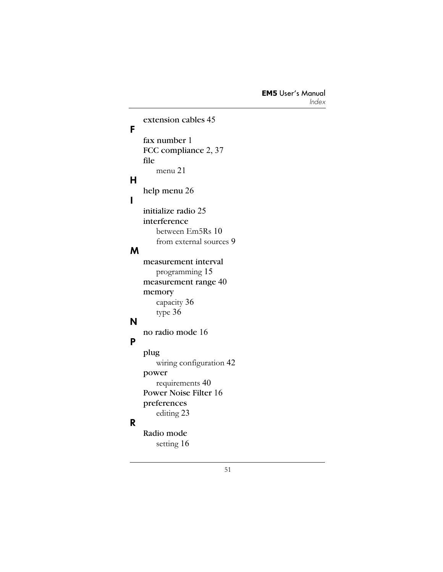#### **EM5** User's Manual *Index*

extension cables 45 F fax number 1 FCC compliance 2, 37 file menu 21 H help menu 26 I initialize radio 25 interference between Em5Rs 10 from external sources 9 M measurement interval programming 15 measurement range 40 memory capacity 36 type 36 N no radio mode 16 P plug wiring configuration 42 power requirements 40 Power Noise Filter 16 preferences editing 23 R Radio mode

setting 16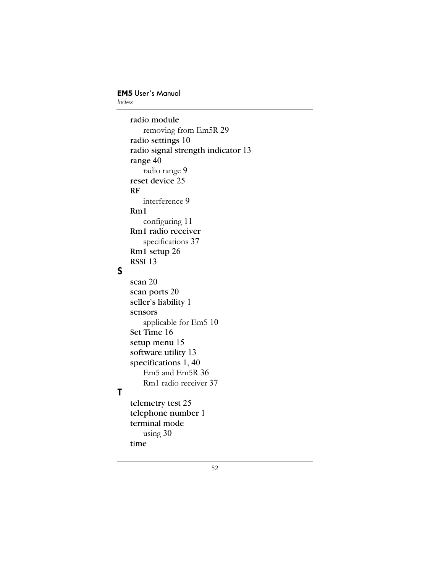#### **EM5** User's Manual

*Index*

S

T

radio module removing from Em5R 29 radio settings 10 radio signal strength indicator 13 range 40 radio range 9 reset device 25 RF interference 9 Rm1 configuring 11 Rm1 radio receiver specifications 37 Rm1 setup 26 RSSI 13 scan 20 scan ports 20 seller's liability 1 sensors applicable for Em5 10 Set Time 16 setup menu 15 software utility 13 specifications 1, 40 Em5 and Em5R 36 Rm1 radio receiver 37 telemetry test 25 telephone number 1 terminal mode using 30 time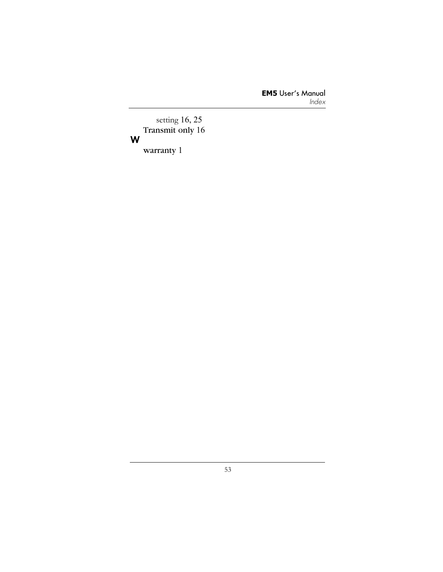setting 16, 25 Transmit only 16 W warranty 1